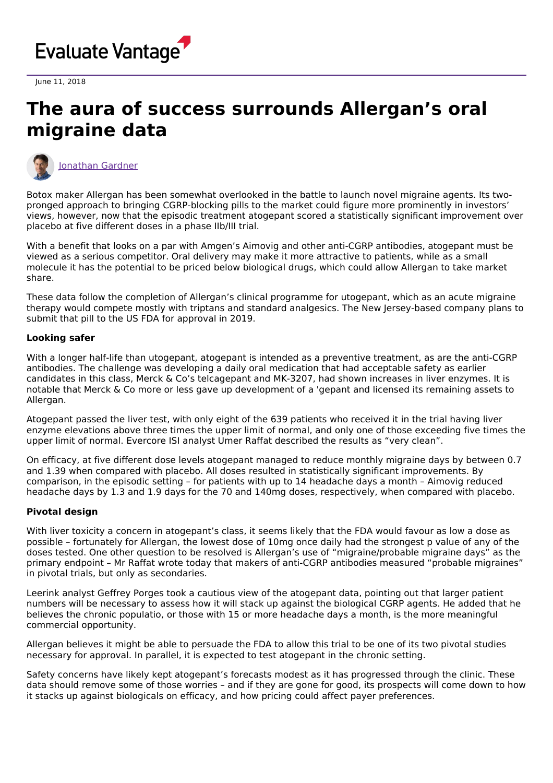

June 11, 2018

## **The aura of success surrounds Allergan's oral migraine data**



[Jonathan](https://www.evaluate.com/vantage/editorial-team/jonathan-gardner) Gardner

Botox maker Allergan has been somewhat overlooked in the battle to launch novel migraine agents. Its twopronged approach to bringing CGRP-blocking pills to the market could figure more prominently in investors' views, however, now that the episodic treatment atogepant scored a statistically significant improvement over placebo at five different doses in a phase IIb/III trial.

With a benefit that looks on a par with Amgen's Aimovig and other anti-CGRP antibodies, atogepant must be viewed as a serious competitor. Oral delivery may make it more attractive to patients, while as a small molecule it has the potential to be priced below biological drugs, which could allow Allergan to take market share.

These data follow the completion of Allergan's clinical programme for utogepant, which as an acute migraine therapy would compete mostly with triptans and standard analgesics. The New Jersey-based company plans to submit that pill to the US FDA for approval in 2019.

## **Looking safer**

With a longer half-life than utogepant, atogepant is intended as a preventive treatment, as are the anti-CGRP antibodies. The challenge was developing a daily oral medication that had acceptable safety as earlier candidates in this class, Merck & Co's telcagepant and MK-3207, had shown increases in liver enzymes. It is notable that Merck & Co more or less gave up development of a 'gepant and licensed its remaining assets to Allergan.

Atogepant passed the liver test, with only eight of the 639 patients who received it in the trial having liver enzyme elevations above three times the upper limit of normal, and only one of those exceeding five times the upper limit of normal. Evercore ISI analyst Umer Raffat described the results as "very clean".

On efficacy, at five different dose levels atogepant managed to reduce monthly migraine days by between 0.7 and 1.39 when compared with placebo. All doses resulted in statistically significant improvements. By comparison, in the episodic setting – for patients with up to 14 headache days a month – Aimovig reduced headache days by 1.3 and 1.9 days for the 70 and 140mg doses, respectively, when compared with placebo.

## **Pivotal design**

With liver toxicity a concern in atogepant's class, it seems likely that the FDA would favour as low a dose as possible – fortunately for Allergan, the lowest dose of 10mg once daily had the strongest p value of any of the doses tested. One other question to be resolved is Allergan's use of "migraine/probable migraine days" as the primary endpoint – Mr Raffat wrote today that makers of anti-CGRP antibodies measured "probable migraines" in pivotal trials, but only as secondaries.

Leerink analyst Geffrey Porges took a cautious view of the atogepant data, pointing out that larger patient numbers will be necessary to assess how it will stack up against the biological CGRP agents. He added that he believes the chronic populatio, or those with 15 or more headache days a month, is the more meaningful commercial opportunity.

Allergan believes it might be able to persuade the FDA to allow this trial to be one of its two pivotal studies necessary for approval. In parallel, it is expected to test atogepant in the chronic setting.

Safety concerns have likely kept atogepant's forecasts modest as it has progressed through the clinic. These data should remove some of those worries – and if they are gone for good, its prospects will come down to how it stacks up against biologicals on efficacy, and how pricing could affect payer preferences.